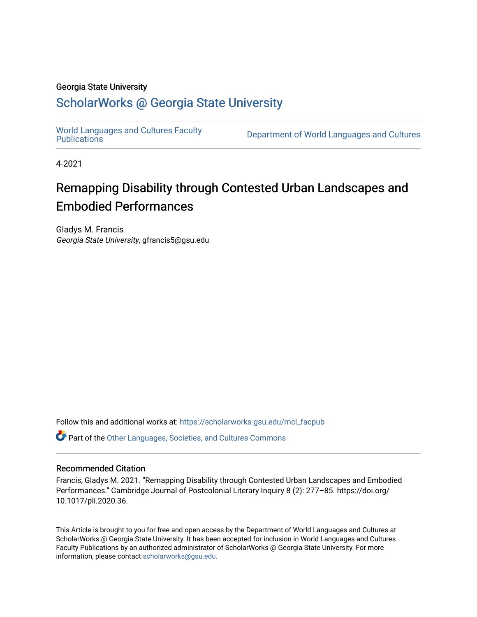#### Georgia State University

### [ScholarWorks @ Georgia State University](https://scholarworks.gsu.edu/)

[World Languages and Cultures Faculty](https://scholarworks.gsu.edu/mcl_facpub)<br>Publications

Department of World Languages and Cultures

4-2021

# Remapping Disability through Contested Urban Landscapes and Embodied Performances

Gladys M. Francis Georgia State University, gfrancis5@gsu.edu

Follow this and additional works at: [https://scholarworks.gsu.edu/mcl\\_facpub](https://scholarworks.gsu.edu/mcl_facpub?utm_source=scholarworks.gsu.edu%2Fmcl_facpub%2F91&utm_medium=PDF&utm_campaign=PDFCoverPages) 

Part of the [Other Languages, Societies, and Cultures Commons](https://network.bepress.com/hgg/discipline/475?utm_source=scholarworks.gsu.edu%2Fmcl_facpub%2F91&utm_medium=PDF&utm_campaign=PDFCoverPages)

### Recommended Citation

Francis, Gladys M. 2021. "Remapping Disability through Contested Urban Landscapes and Embodied Performances." Cambridge Journal of Postcolonial Literary Inquiry 8 (2): 277–85. https://doi.org/ 10.1017/pli.2020.36.

This Article is brought to you for free and open access by the Department of World Languages and Cultures at ScholarWorks @ Georgia State University. It has been accepted for inclusion in World Languages and Cultures Faculty Publications by an authorized administrator of ScholarWorks @ Georgia State University. For more information, please contact [scholarworks@gsu.edu](mailto:scholarworks@gsu.edu).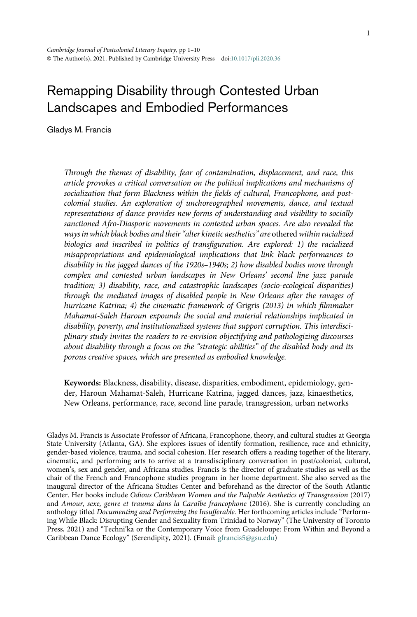## Remapping Disability through Contested Urban Landscapes and Embodied Performances

Gladys M. Francis

Through the themes of disability, fear of contamination, displacement, and race, this article provokes a critical conversation on the political implications and mechanisms of socialization that form Blackness within the fields of cultural, Francophone, and postcolonial studies. An exploration of unchoreographed movements, dance, and textual representations of dance provides new forms of understanding and visibility to socially sanctioned Afro-Diasporic movements in contested urban spaces. Are also revealed the ways in which black bodies and their "alter kinetic aesthetics" are othered within racialized biologics and inscribed in politics of transfiguration. Are explored: 1) the racialized misappropriations and epidemiological implications that link black performances to disability in the jagged dances of the 1920s–1940s; 2) how disabled bodies move through complex and contested urban landscapes in New Orleans' second line jazz parade tradition; 3) disability, race, and catastrophic landscapes (socio-ecological disparities) through the mediated images of disabled people in New Orleans after the ravages of hurricane Katrina; 4) the cinematic framework of Grigris (2013) in which filmmaker Mahamat-Saleh Haroun expounds the social and material relationships implicated in disability, poverty, and institutionalized systems that support corruption. This interdisciplinary study invites the readers to re-envision objectifying and pathologizing discourses about disability through a focus on the "strategic abilities" of the disabled body and its porous creative spaces, which are presented as embodied knowledge.

Keywords: Blackness, disability, disease, disparities, embodiment, epidemiology, gender, Haroun Mahamat-Saleh, Hurricane Katrina, jagged dances, jazz, kinaesthetics, New Orleans, performance, race, second line parade, transgression, urban networks

Gladys M. Francis is Associate Professor of Africana, Francophone, theory, and cultural studies at Georgia State University (Atlanta, GA). She explores issues of identify formation, resilience, race and ethnicity, gender-based violence, trauma, and social cohesion. Her research offers a reading together of the literary, cinematic, and performing arts to arrive at a transdisciplinary conversation in post/colonial, cultural, women's, sex and gender, and Africana studies. Francis is the director of graduate studies as well as the chair of the French and Francophone studies program in her home department. She also served as the inaugural director of the Africana Studies Center and beforehand as the director of the South Atlantic Center. Her books include Odious Caribbean Women and the Palpable Aesthetics of Transgression (2017) and Amour, sexe, genre et trauma dans la Caraïbe francophone (2016). She is currently concluding an anthology titled Documenting and Performing the Insufferable. Her forthcoming articles include "Performing While Black: Disrupting Gender and Sexuality from Trinidad to Norway" (The University of Toronto Press, 2021) and "Techni'ka or the Contemporary Voice from Guadeloupe: From Within and Beyond a Caribbean Dance Ecology" (Serendipity, 2021). (Email: [gfrancis5@gsu.edu](mailto:gfrancis5@gsu.edu))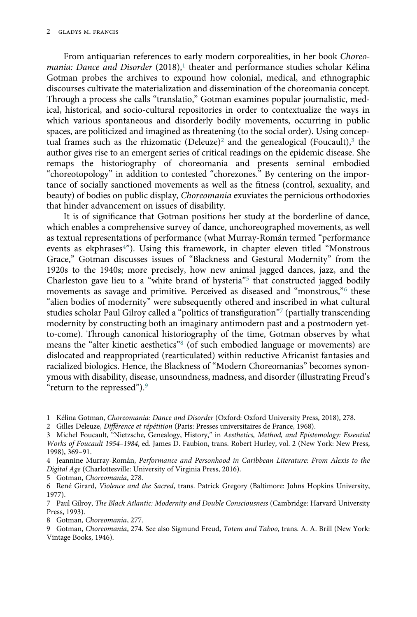From antiquarian references to early modern corporealities, in her book Choreomania: Dance and Disorder  $(2018)^1$  $(2018)^1$  $(2018)^1$  theater and performance studies scholar Kélina Gotman probes the archives to expound how colonial, medical, and ethnographic discourses cultivate the materialization and dissemination of the choreomania concept. Through a process she calls "translatio," Gotman examines popular journalistic, medical, historical, and socio-cultural repositories in order to contextualize the ways in which various spontaneous and disorderly bodily movements, occurring in public spaces, are politicized and imagined as threatening (to the social order). Using concep-tual frames such as the rhizomatic (Deleuze)<sup>[2](#page-2-1)</sup> and the genealogical (Foucault),<sup>[3](#page-2-2)</sup> the author gives rise to an emergent series of critical readings on the epidemic disease. She remaps the historiography of choreomania and presents seminal embodied "choreotopology" in addition to contested "chorezones." By centering on the importance of socially sanctioned movements as well as the fitness (control, sexuality, and beauty) of bodies on public display, *Choreomania* exuviates the pernicious orthodoxies that hinder advancement on issues of disability.

It is of significance that Gotman positions her study at the borderline of dance, which enables a comprehensive survey of dance, unchoreographed movements, as well as textual representations of performance (what Murray-Román termed "performance events as ekphrases<sup>[4](#page-2-3)"</sup>). Using this framework, in chapter eleven titled "Monstrous Grace," Gotman discusses issues of "Blackness and Gestural Modernity" from the 1920s to the 1940s; more precisely, how new animal jagged dances, jazz, and the Charleston gave lieu to a "white brand of hysteria"<sup>[5](#page-2-4)</sup> that constructed jagged bodily movements as savage and primitive. Perceived as diseased and "monstrous,"[6](#page-2-5) these "alien bodies of modernity" were subsequently othered and inscribed in what cultural studies scholar Paul Gilroy called a "politics of transfiguration"[7](#page-2-6) (partially transcending modernity by constructing both an imaginary antimodern past and a postmodern yetto-come). Through canonical historiography of the time, Gotman observes by what means the "alter kinetic aesthetics"[8](#page-2-7) (of such embodied language or movements) are dislocated and reappropriated (rearticulated) within reductive Africanist fantasies and racialized biologics. Hence, the Blackness of "Modern Choreomanias" becomes synonymous with disability, disease, unsoundness, madness, and disorder (illustrating Freud's "return to the repressed"). $9$ 

<span id="page-2-0"></span>1 Kélina Gotman, Choreomania: Dance and Disorder (Oxford: Oxford University Press, 2018), 278.

<span id="page-2-1"></span>2 Gilles Deleuze, Différence et répétition (Paris: Presses universitaires de France, 1968).

<span id="page-2-2"></span>3 Michel Foucault, "Nietzsche, Genealogy, History," in Aesthetics, Method, and Epistemology: Essential Works of Foucault 1954–1984, ed. James D. Faubion, trans. Robert Hurley, vol. 2 (New York: New Press, 1998), 369–91.

<span id="page-2-3"></span>4 Jeannine Murray-Román, Performance and Personhood in Caribbean Literature: From Alexis to the Digital Age (Charlottesville: University of Virginia Press, 2016).

<span id="page-2-4"></span>5 Gotman, Choreomania, 278.

<span id="page-2-5"></span>6 René Girard, Violence and the Sacred, trans. Patrick Gregory (Baltimore: Johns Hopkins University, 1977).

<span id="page-2-6"></span>7 Paul Gilroy, The Black Atlantic: Modernity and Double Consciousness (Cambridge: Harvard University Press, 1993).

<span id="page-2-7"></span>8 Gotman, Choreomania, 277.

<span id="page-2-8"></span>9 Gotman, Choreomania, 274. See also Sigmund Freud, Totem and Taboo, trans. A. A. Brill (New York: Vintage Books, 1946).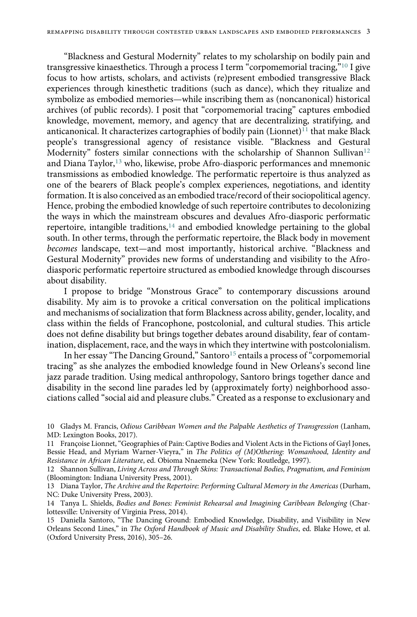"Blackness and Gestural Modernity" relates to my scholarship on bodily pain and transgressive kinaesthetics. Through a process I term "corpomemorial tracing,"[10](#page-3-0) I give focus to how artists, scholars, and activists (re)present embodied transgressive Black experiences through kinesthetic traditions (such as dance), which they ritualize and symbolize as embodied memories—while inscribing them as (noncanonical) historical archives (of public records). I posit that "corpomemorial tracing" captures embodied knowledge, movement, memory, and agency that are decentralizing, stratifying, and anticanonical. It characterizes cartographies of bodily pain (Lionnet)<sup>[11](#page-3-1)</sup> that make Black people's transgressional agency of resistance visible. "Blackness and Gestural Modernity" fosters similar connections with the scholarship of Shannon Sullivan<sup>[12](#page-3-2)</sup> and Diana Taylor,<sup>[13](#page-3-3)</sup> who, likewise, probe Afro-diasporic performances and mnemonic transmissions as embodied knowledge. The performatic repertoire is thus analyzed as one of the bearers of Black people's complex experiences, negotiations, and identity formation. It is also conceived as an embodied trace/record of their sociopolitical agency. Hence, probing the embodied knowledge of such repertoire contributes to decolonizing the ways in which the mainstream obscures and devalues Afro-diasporic performatic repertoire, intangible traditions, $14$  and embodied knowledge pertaining to the global south. In other terms, through the performatic repertoire, the Black body in movement becomes landscape, text—and most importantly, historical archive. "Blackness and Gestural Modernity" provides new forms of understanding and visibility to the Afrodiasporic performatic repertoire structured as embodied knowledge through discourses about disability.

I propose to bridge "Monstrous Grace" to contemporary discussions around disability. My aim is to provoke a critical conversation on the political implications and mechanisms of socialization that form Blackness across ability, gender, locality, and class within the fields of Francophone, postcolonial, and cultural studies. This article does not define disability but brings together debates around disability, fear of contamination, displacement, race, and the ways in which they intertwine with postcolonialism.

In her essay "The Dancing Ground," Santoro<sup>[15](#page-3-5)</sup> entails a process of "corpomemorial tracing" as she analyzes the embodied knowledge found in New Orleans's second line jazz parade tradition. Using medical anthropology, Santoro brings together dance and disability in the second line parades led by (approximately forty) neighborhood associations called "social aid and pleasure clubs." Created as a response to exclusionary and

<span id="page-3-0"></span><sup>10</sup> Gladys M. Francis, Odious Caribbean Women and the Palpable Aesthetics of Transgression (Lanham, MD: Lexington Books, 2017).

<span id="page-3-1"></span><sup>11</sup> Françoise Lionnet,"Geographies of Pain: Captive Bodies and Violent Acts in the Fictions of Gayl Jones, Bessie Head, and Myriam Warner-Vieyra," in The Politics of (M)Othering: Womanhood, Identity and Resistance in African Literature, ed. Obioma Nnaemeka (New York: Routledge, 1997).

<span id="page-3-2"></span><sup>12</sup> Shannon Sullivan, Living Across and Through Skins: Transactional Bodies, Pragmatism, and Feminism (Bloomington: Indiana University Press, 2001).

<span id="page-3-3"></span><sup>13</sup> Diana Taylor, The Archive and the Repertoire: Performing Cultural Memory in the Americas (Durham, NC: Duke University Press, 2003).

<span id="page-3-4"></span><sup>14</sup> Tanya L. Shields, Bodies and Bones: Feminist Rehearsal and Imagining Caribbean Belonging (Charlottesville: University of Virginia Press, 2014).

<span id="page-3-5"></span><sup>15</sup> Daniella Santoro, "The Dancing Ground: Embodied Knowledge, Disability, and Visibility in New Orleans Second Lines," in The Oxford Handbook of Music and Disability Studies, ed. Blake Howe, et al. (Oxford University Press, 2016), 305–26.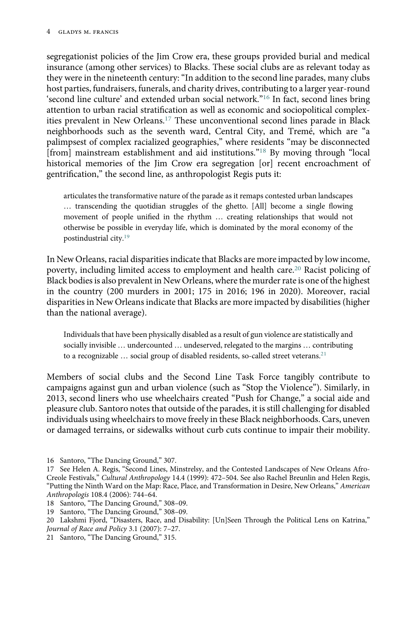segregationist policies of the Jim Crow era, these groups provided burial and medical insurance (among other services) to Blacks. These social clubs are as relevant today as they were in the nineteenth century: "In addition to the second line parades, many clubs host parties, fundraisers, funerals, and charity drives, contributing to a larger year-round 'second line culture' and extended urban social network."[16](#page-4-0) In fact, second lines bring attention to urban racial stratification as well as economic and sociopolitical complexities prevalent in New Orleans.[17](#page-4-1) These unconventional second lines parade in Black neighborhoods such as the seventh ward, Central City, and Tremé, which are "a palimpsest of complex racialized geographies," where residents "may be disconnected [from] mainstream establishment and aid institutions."<sup>[18](#page-4-2)</sup> By moving through "local historical memories of the Jim Crow era segregation [or] recent encroachment of gentrification," the second line, as anthropologist Regis puts it:

articulates the transformative nature of the parade as it remaps contested urban landscapes … transcending the quotidian struggles of the ghetto. [All] become a single flowing movement of people unified in the rhythm … creating relationships that would not otherwise be possible in everyday life, which is dominated by the moral economy of the postindustrial city[.19](#page-4-3)

In New Orleans, racial disparities indicate that Blacks are more impacted by low income, poverty, including limited access to employment and health care.<sup>[20](#page-4-4)</sup> Racist policing of Black bodies is also prevalent in New Orleans, where the murder rate is one of the highest in the country (200 murders in 2001; 175 in 2016; 196 in 2020). Moreover, racial disparities in New Orleans indicate that Blacks are more impacted by disabilities (higher than the national average).

Individuals that have been physically disabled as a result of gun violence are statistically and socially invisible … undercounted … undeserved, relegated to the margins … contributing to a recognizable ... social group of disabled residents, so-called street veterans.<sup>[21](#page-4-5)</sup>

Members of social clubs and the Second Line Task Force tangibly contribute to campaigns against gun and urban violence (such as "Stop the Violence"). Similarly, in 2013, second liners who use wheelchairs created "Push for Change," a social aide and pleasure club. Santoro notes that outside of the parades, it is still challenging for disabled individuals using wheelchairs to move freely in these Black neighborhoods. Cars, uneven or damaged terrains, or sidewalks without curb cuts continue to impair their mobility.

<sup>16</sup> Santoro, "The Dancing Ground," 307.

<span id="page-4-1"></span><span id="page-4-0"></span><sup>17</sup> See Helen A. Regis, "Second Lines, Minstrelsy, and the Contested Landscapes of New Orleans Afro-Creole Festivals," Cultural Anthropology 14.4 (1999): 472–504. See also Rachel Breunlin and Helen Regis, "Putting the Ninth Ward on the Map: Race, Place, and Transformation in Desire, New Orleans," American Anthropologis 108.4 (2006): 744–64.

<span id="page-4-2"></span><sup>18</sup> Santoro, "The Dancing Ground," 308–09.

<span id="page-4-3"></span><sup>19</sup> Santoro, "The Dancing Ground," 308–09.

<span id="page-4-4"></span><sup>20</sup> Lakshmi Fjord, "Disasters, Race, and Disability: [Un]Seen Through the Political Lens on Katrina," Journal of Race and Policy 3.1 (2007): 7–27.

<span id="page-4-5"></span><sup>21</sup> Santoro, "The Dancing Ground," 315.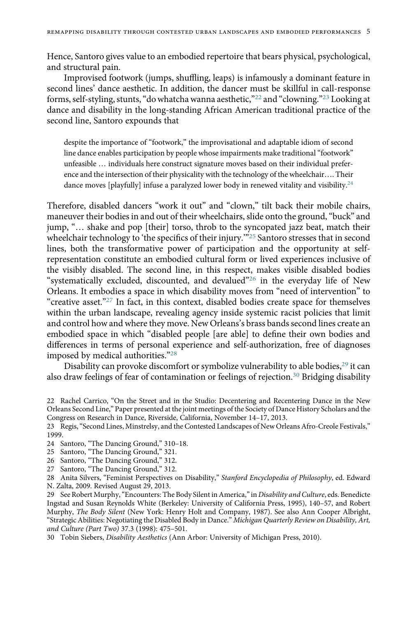Hence, Santoro gives value to an embodied repertoire that bears physical, psychological, and structural pain.

Improvised footwork (jumps, shuffling, leaps) is infamously a dominant feature in second lines' dance aesthetic. In addition, the dancer must be skillful in call-response forms, self-styling, stunts,"do whatcha wanna aesthetic,"[22](#page-5-0) and "clowning."[23](#page-5-1) Looking at dance and disability in the long-standing African American traditional practice of the second line, Santoro expounds that

despite the importance of "footwork," the improvisational and adaptable idiom of second line dance enables participation by people whose impairments make traditional "footwork" unfeasible … individuals here construct signature moves based on their individual preference and the intersection of their physicality with the technology of the wheelchair…. Their dance moves [playfully] infuse a paralyzed lower body in renewed vitality and visibility.<sup>[24](#page-5-2)</sup>

Therefore, disabled dancers "work it out" and "clown," tilt back their mobile chairs, maneuver their bodies in and out of their wheelchairs, slide onto the ground,"buck" and jump, "… shake and pop [their] torso, throb to the syncopated jazz beat, match their wheelchair technology to 'the specifics of their injury."<sup>[25](#page-5-3)</sup> Santoro stresses that in second lines, both the transformative power of participation and the opportunity at selfrepresentation constitute an embodied cultural form or lived experiences inclusive of the visibly disabled. The second line, in this respect, makes visible disabled bodies "systematically excluded, discounted, and devalued"[26](#page-5-4) in the everyday life of New Orleans. It embodies a space in which disability moves from "need of intervention" to "creative asset."<sup>[27](#page-5-5)</sup> In fact, in this context, disabled bodies create space for themselves within the urban landscape, revealing agency inside systemic racist policies that limit and control how and where they move. New Orleans's brass bands second lines create an embodied space in which "disabled people [are able] to define their own bodies and differences in terms of personal experience and self-authorization, free of diagnoses imposed by medical authorities."[28](#page-5-6)

Disability can provoke discomfort or symbolize vulnerability to able bodies,<sup>29</sup> it can also draw feelings of fear of contamination or feelings of rejection.<sup>30</sup> Bridging disability

<span id="page-5-2"></span>24 Santoro, "The Dancing Ground," 310–18.

<span id="page-5-8"></span>30 Tobin Siebers, Disability Aesthetics (Ann Arbor: University of Michigan Press, 2010).

<span id="page-5-0"></span><sup>22</sup> Rachel Carrico, "On the Street and in the Studio: Decentering and Recentering Dance in the New Orleans Second Line," Paper presented at the joint meetings of the Society of Dance History Scholars and the Congress on Research in Dance, Riverside, California, November 14–17, 2013.

<span id="page-5-1"></span><sup>23</sup> Regis,"Second Lines, Minstrelsy, and the Contested Landscapes of New Orleans Afro-Creole Festivals," 1999.

<span id="page-5-3"></span><sup>25</sup> Santoro, "The Dancing Ground," 321.

<span id="page-5-4"></span><sup>26</sup> Santoro, "The Dancing Ground," 312.

<span id="page-5-5"></span><sup>27</sup> Santoro, "The Dancing Ground," 312.

<span id="page-5-6"></span><sup>28</sup> Anita Silvers, "Feminist Perspectives on Disability," Stanford Encyclopedia of Philosophy, ed. Edward N. Zalta, 2009. Revised August 29, 2013.

<span id="page-5-7"></span><sup>29</sup> See Robert Murphy, "Encounters: The Body Silent in America," in Disability and Culture, eds. Benedicte Ingstad and Susan Reynolds White (Berkeley: University of California Press, 1995), 140–57, and Robert Murphy, The Body Silent (New York: Henry Holt and Company, 1987). See also Ann Cooper Albright, "Strategic Abilities: Negotiating the Disabled Body in Dance." Michigan Quarterly Review on Disability, Art, and Culture (Part Two) 37.3 (1998): 475–501.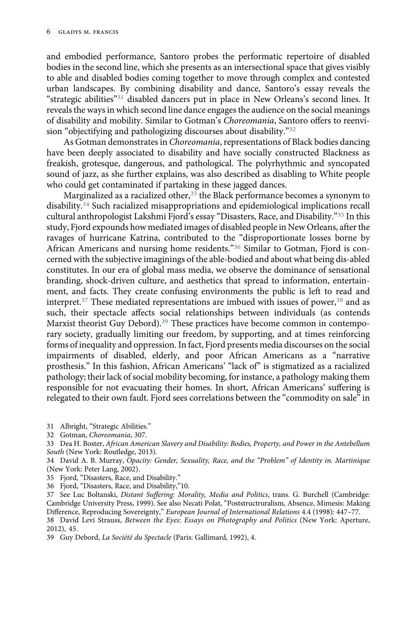and embodied performance, Santoro probes the performatic repertoire of disabled bodies in the second line, which she presents as an intersectional space that gives visibly to able and disabled bodies coming together to move through complex and contested urban landscapes. By combining disability and dance, Santoro's essay reveals the "strategic abilities"[31](#page-6-0) disabled dancers put in place in New Orleans's second lines. It reveals the ways in which second line dance engages the audience on the social meanings of disability and mobility. Similar to Gotman's Choreomania, Santoro offers to reenvision "objectifying and pathologizing discourses about disability."[32](#page-6-1)

As Gotman demonstrates in Choreomania, representations of Black bodies dancing have been deeply associated to disability and have socially constructed Blackness as freakish, grotesque, dangerous, and pathological. The polyrhythmic and syncopated sound of jazz, as she further explains, was also described as disabling to White people who could get contaminated if partaking in these jagged dances.

Marginalized as a racialized other,  $33$  the Black performance becomes a synonym to disability.[34](#page-6-3) Such racialized misappropriations and epidemiological implications recall cultural anthropologist Lakshmi Fjord's essay "Disasters, Race, and Disability."[35](#page-6-4) In this study, Fjord expounds how mediated images of disabled people in New Orleans, after the ravages of hurricane Katrina, contributed to the "disproportionate losses borne by African Americans and nursing home residents."[36](#page-6-5) Similar to Gotman, Fjord is concerned with the subjective imaginings of the able-bodied and about what being dis-abled constitutes. In our era of global mass media, we observe the dominance of sensational branding, shock-driven culture, and aesthetics that spread to information, entertainment, and facts. They create confusing environments the public is left to read and interpret.<sup>[37](#page-6-6)</sup> These mediated representations are imbued with issues of power,<sup>[38](#page-6-7)</sup> and as such, their spectacle affects social relationships between individuals (as contends Marxist theorist Guy Debord).[39](#page-6-8) These practices have become common in contemporary society, gradually limiting our freedom, by supporting, and at times reinforcing forms of inequality and oppression. In fact, Fjord presents media discourses on the social impairments of disabled, elderly, and poor African Americans as a "narrative prosthesis." In this fashion, African Americans' "lack of" is stigmatized as a racialized pathology; their lack of social mobility becoming, for instance, a pathology making them responsible for not evacuating their homes. In short, African Americans' suffering is relegated to their own fault. Fjord sees correlations between the "commodity on sale" in

- <span id="page-6-0"></span>31 Albright, "Strategic Abilities."
- <span id="page-6-1"></span>32 Gotman, Choreomania, 307.

- <span id="page-6-4"></span>35 Fjord, "Disasters, Race, and Disability."
- <span id="page-6-5"></span>36 Fjord, "Disasters, Race, and Disability,"10.
- <span id="page-6-6"></span>37 See Luc Boltanski, Distant Suffering: Morality, Media and Politics, trans. G. Burchell (Cambridge: Cambridge University Press, 1999). See also Necati Polat, "Poststructruralism, Absence, Mimesis: Making Difference, Reproducing Sovereignty," European Journal of International Relations 4.4 (1998): 447–77. 38 David Levi Strauss, Between the Eyes: Essays on Photography and Politics (New York: Aperture, 2012), 45.
- <span id="page-6-8"></span><span id="page-6-7"></span>39 Guy Debord, La Société du Spectacle (Paris: Gallimard, 1992), 4.

<span id="page-6-2"></span><sup>33</sup> Dea H. Boster, African American Slavery and Disability: Bodies, Property, and Power in the Antebellum South (New York: Routledge, 2013).

<span id="page-6-3"></span><sup>34</sup> David A. B. Murray, Opacity: Gender, Sexuality, Race, and the "Problem" of Identity in. Martinique (New York: Peter Lang, 2002).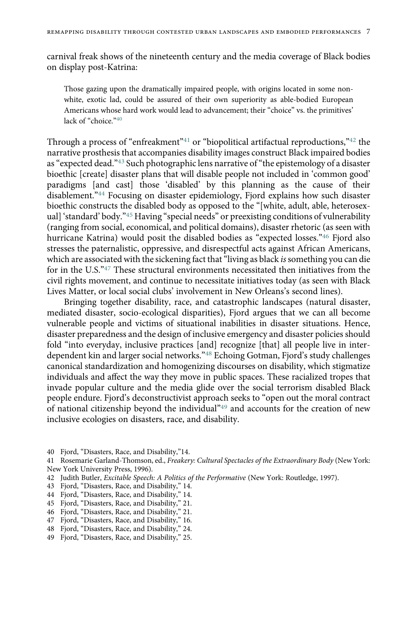carnival freak shows of the nineteenth century and the media coverage of Black bodies on display post-Katrina:

Those gazing upon the dramatically impaired people, with origins located in some nonwhite, exotic lad, could be assured of their own superiority as able-bodied European Americans whose hard work would lead to advancement; their "choice" vs. the primitives' lack of "choice."<sup>[40](#page-7-0)</sup>

Through a process of "enfreakment"[41](#page-7-1) or "biopolitical artifactual reproductions,"[42](#page-7-2) the narrative prosthesis that accompanies disability images construct Black impaired bodies as "expected dead."[43](#page-7-3) Such photographic lens narrative of "the epistemology of a disaster bioethic [create] disaster plans that will disable people not included in 'common good' paradigms [and cast] those 'disabled' by this planning as the cause of their disablement."[44](#page-7-4) Focusing on disaster epidemiology, Fjord explains how such disaster bioethic constructs the disabled body as opposed to the "[white, adult, able, heterosexual] 'standard' body."[45](#page-7-5) Having "special needs" or preexisting conditions of vulnerability (ranging from social, economical, and political domains), disaster rhetoric (as seen with hurricane Katrina) would posit the disabled bodies as "expected losses."[46](#page-7-6) Fjord also stresses the paternalistic, oppressive, and disrespectful acts against African Americans, which are associated with the sickening fact that "living as black is something you can die for in the U.S."[47](#page-7-7) These structural environments necessitated then initiatives from the civil rights movement, and continue to necessitate initiatives today (as seen with Black Lives Matter, or local social clubs' involvement in New Orleans's second lines).

Bringing together disability, race, and catastrophic landscapes (natural disaster, mediated disaster, socio-ecological disparities), Fjord argues that we can all become vulnerable people and victims of situational inabilities in disaster situations. Hence, disaster preparedness and the design of inclusive emergency and disaster policies should fold "into everyday, inclusive practices [and] recognize [that] all people live in interdependent kin and larger social networks."[48](#page-7-8) Echoing Gotman, Fjord's study challenges canonical standardization and homogenizing discourses on disability, which stigmatize individuals and affect the way they move in public spaces. These racialized tropes that invade popular culture and the media glide over the social terrorism disabled Black people endure. Fjord's deconstructivist approach seeks to "open out the moral contract of national citizenship beyond the individual"[49](#page-7-9) and accounts for the creation of new inclusive ecologies on disasters, race, and disability.

<span id="page-7-2"></span>42 Judith Butler, Excitable Speech: A Politics of the Performative (New York: Routledge, 1997).

<span id="page-7-0"></span><sup>40</sup> Fjord, "Disasters, Race, and Disability,"14.

<span id="page-7-1"></span><sup>41</sup> Rosemarie Garland-Thomson, ed., Freakery: Cultural Spectacles of the Extraordinary Body (New York: New York University Press, 1996).

<span id="page-7-3"></span><sup>43</sup> Fjord, "Disasters, Race, and Disability," 14.

<span id="page-7-4"></span><sup>44</sup> Fjord, "Disasters, Race, and Disability," 14.

<span id="page-7-5"></span><sup>45</sup> Fjord, "Disasters, Race, and Disability," 21.

<span id="page-7-6"></span><sup>46</sup> Fjord, "Disasters, Race, and Disability," 21.

<span id="page-7-7"></span><sup>47</sup> Fjord, "Disasters, Race, and Disability," 16.

<span id="page-7-8"></span><sup>48</sup> Fjord, "Disasters, Race, and Disability," 24.

<span id="page-7-9"></span><sup>49</sup> Fjord, "Disasters, Race, and Disability," 25.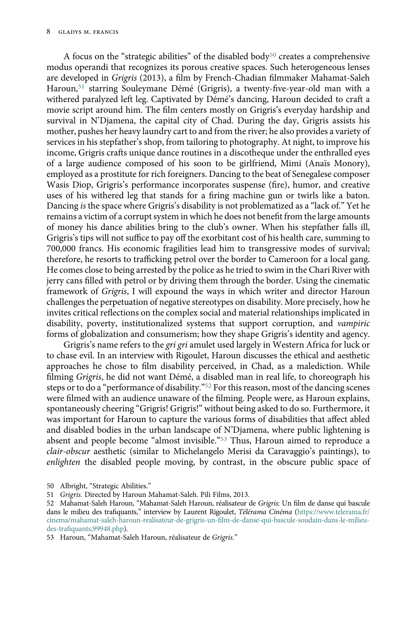A focus on the "strategic abilities" of the disabled body<sup>[50](#page-8-0)</sup> creates a comprehensive modus operandi that recognizes its porous creative spaces. Such heterogeneous lenses are developed in Grigris (2013), a film by French-Chadian filmmaker Mahamat-Saleh Haroun,<sup>[51](#page-8-1)</sup> starring Souleymane Démé (Grigris), a twenty-five-year-old man with a withered paralyzed left leg. Captivated by Démé's dancing, Haroun decided to craft a movie script around him. The film centers mostly on Grigris's everyday hardship and survival in N'Djamena, the capital city of Chad. During the day, Grigris assists his mother, pushes her heavy laundry cart to and from the river; he also provides a variety of services in his stepfather's shop, from tailoring to photography. At night, to improve his income, Grigris crafts unique dance routines in a discotheque under the enthralled eyes of a large audience composed of his soon to be girlfriend, Mimi (Anaïs Monory), employed as a prostitute for rich foreigners. Dancing to the beat of Senegalese composer Wasis Diop, Grigris's performance incorporates suspense (fire), humor, and creative uses of his withered leg that stands for a firing machine gun or twirls like a baton. Dancing is the space where Grigris's disability is not problematized as a "lack of." Yet he remains a victim of a corrupt system in which he does not benefit from the large amounts of money his dance abilities bring to the club's owner. When his stepfather falls ill, Grigris's tips will not suffice to pay off the exorbitant cost of his health care, summing to 700,000 francs. His economic fragilities lead him to transgressive modes of survival; therefore, he resorts to trafficking petrol over the border to Cameroon for a local gang. He comes close to being arrested by the police as he tried to swim in the Chari River with jerry cans filled with petrol or by driving them through the border. Using the cinematic framework of Grigris, I will expound the ways in which writer and director Haroun challenges the perpetuation of negative stereotypes on disability. More precisely, how he invites critical reflections on the complex social and material relationships implicated in disability, poverty, institutionalized systems that support corruption, and vampiric forms of globalization and consumerism; how they shape Grigris's identity and agency.

Grigris's name refers to the gri gri amulet used largely in Western Africa for luck or to chase evil. In an interview with Rigoulet, Haroun discusses the ethical and aesthetic approaches he chose to film disability perceived, in Chad, as a malediction. While filming Grigris, he did not want Démé, a disabled man in real life, to choreograph his steps or to do a "performance of disability."[52](#page-8-2) For this reason, most of the dancing scenes were filmed with an audience unaware of the filming. People were, as Haroun explains, spontaneously cheering "Grigris! Grigris!" without being asked to do so. Furthermore, it was important for Haroun to capture the various forms of disabilities that affect abled and disabled bodies in the urban landscape of N'Djamena, where public lightening is absent and people become "almost invisible."[53](#page-8-3) Thus, Haroun aimed to reproduce a clair-obscur aesthetic (similar to Michelangelo Merisi da Caravaggio's paintings), to enlighten the disabled people moving, by contrast, in the obscure public space of

<span id="page-8-0"></span>50 Albright, "Strategic Abilities."

<span id="page-8-1"></span><sup>51</sup> Grigris. Directed by Haroun Mahamat-Saleh. Pili Films, 2013.

<span id="page-8-2"></span><sup>52</sup> Mahamat-Saleh Haroun, "Mahamat-Saleh Haroun, réalisateur de Grigris: Un film de danse qui bascule dans le milieu des trafiquants," interview by Laurent Rigoulet, Télérama Cinéma ([https://www.telerama.fr/](https://www.telerama.fr/cinema/mahamat-saleh-haroun-realisateur-de-grigris-un-film-de-danse-qui-bascule-soudain-dans-le-milieu-des-trafiquants,99948.php) [cinema/mahamat-saleh-haroun-realisateur-de-grigris-un-](https://www.telerama.fr/cinema/mahamat-saleh-haroun-realisateur-de-grigris-un-film-de-danse-qui-bascule-soudain-dans-le-milieu-des-trafiquants,99948.php)film-de-danse-qui-bascule-soudain-dans-le-milieudes-trafi[quants,99948.php](https://www.telerama.fr/cinema/mahamat-saleh-haroun-realisateur-de-grigris-un-film-de-danse-qui-bascule-soudain-dans-le-milieu-des-trafiquants,99948.php)).

<span id="page-8-3"></span><sup>53</sup> Haroun, "Mahamat-Saleh Haroun, réalisateur de Grigris."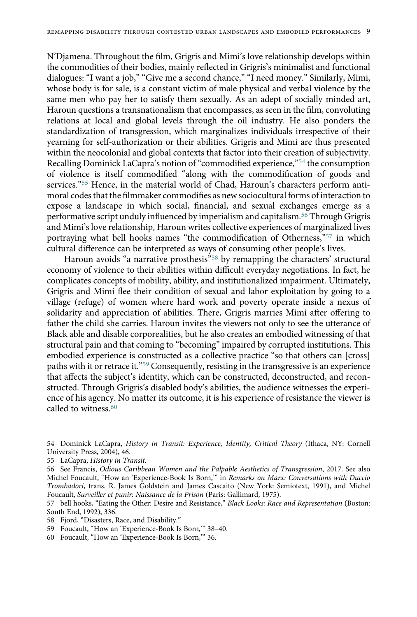N'Djamena. Throughout the film, Grigris and Mimi's love relationship develops within the commodities of their bodies, mainly reflected in Grigris's minimalist and functional dialogues: "I want a job," "Give me a second chance," "I need money." Similarly, Mimi, whose body is for sale, is a constant victim of male physical and verbal violence by the same men who pay her to satisfy them sexually. As an adept of socially minded art, Haroun questions a transnationalism that encompasses, as seen in the film, convoluting relations at local and global levels through the oil industry. He also ponders the standardization of transgression, which marginalizes individuals irrespective of their yearning for self-authorization or their abilities. Grigris and Mimi are thus presented within the neocolonial and global contexts that factor into their creation of subjectivity. Recalling Dominick LaCapra's notion of"commodified experience,"[54](#page-9-0) the consumption of violence is itself commodified "along with the commodification of goods and services."[55](#page-9-1) Hence, in the material world of Chad, Haroun's characters perform antimoral codes that the filmmaker commodifies as new sociocultural forms of interaction to expose a landscape in which social, financial, and sexual exchanges emerge as a performative script unduly influenced by imperialism and capitalism.[56](#page-9-2) Through Grigris and Mimi's love relationship, Haroun writes collective experiences of marginalized lives portraying what bell hooks names "the commodification of Otherness,"<sup>[57](#page-9-3)</sup> in which cultural difference can be interpreted as ways of consuming other people's lives.

Haroun avoids "a narrative prosthesis"<sup>[58](#page-9-4)</sup> by remapping the characters' structural economy of violence to their abilities within difficult everyday negotiations. In fact, he complicates concepts of mobility, ability, and institutionalized impairment. Ultimately, Grigris and Mimi flee their condition of sexual and labor exploitation by going to a village (refuge) of women where hard work and poverty operate inside a nexus of solidarity and appreciation of abilities. There, Grigris marries Mimi after offering to father the child she carries. Haroun invites the viewers not only to see the utterance of Black able and disable corporealities, but he also creates an embodied witnessing of that structural pain and that coming to "becoming" impaired by corrupted institutions. This embodied experience is constructed as a collective practice "so that others can [cross] paths with it or retrace it."[59](#page-9-5) Consequently, resisting in the transgressive is an experience that affects the subject's identity, which can be constructed, deconstructed, and reconstructed. Through Grigris's disabled body's abilities, the audience witnesses the experience of his agency. No matter its outcome, it is his experience of resistance the viewer is called to witness.<sup>[60](#page-9-6)</sup>

- <span id="page-9-5"></span>59 Foucault, "How an 'Experience-Book Is Born,'" 38–40.
- <span id="page-9-6"></span>60 Foucault, "How an 'Experience-Book Is Born,'" 36.

<span id="page-9-0"></span><sup>54</sup> Dominick LaCapra, History in Transit: Experience, Identity, Critical Theory (Ithaca, NY: Cornell University Press, 2004), 46.

<span id="page-9-1"></span><sup>55</sup> LaCapra, History in Transit.

<span id="page-9-2"></span><sup>56</sup> See Francis, Odious Caribbean Women and the Palpable Aesthetics of Transgression, 2017. See also Michel Foucault, "How an 'Experience-Book Is Born,'" in Remarks on Marx: Conversations with Duccio Trombadori, trans. R. James Goldstein and James Cascaito (New York: Semiotext, 1991), and Michel Foucault, Surveiller et punir: Naissance de la Prison (Paris: Gallimard, 1975).

<span id="page-9-3"></span><sup>57</sup> bell hooks, "Eating the Other: Desire and Resistance," Black Looks: Race and Representation (Boston: South End, 1992), 336.

<span id="page-9-4"></span><sup>58</sup> Fjord, "Disasters, Race, and Disability."